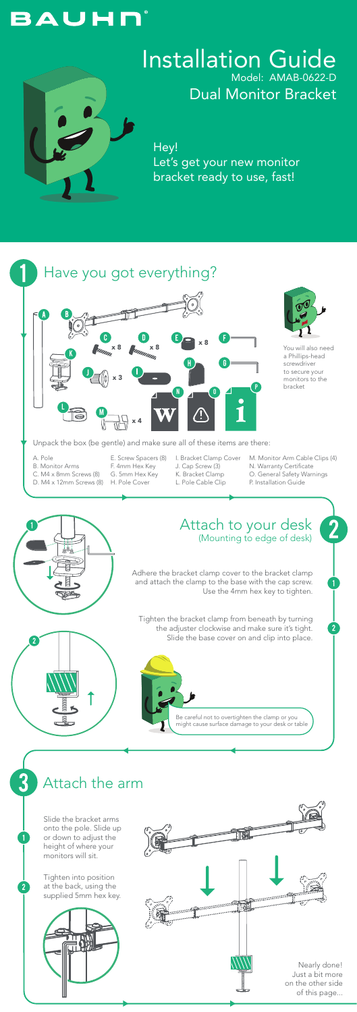Attach the arm



Unpack the box (be gentle) and make sure all of these items are there:





 $\overline{2}$ 

Hey! Let's get your new monitor bracket ready to use, fast!

# **BAUHN**



#### Installation Guide Model: AMAB-0622-D Dual Monitor Bracket

You will also need a Phillips-head screwdriver to secure your monitors to the bracket

- A. Pole
- B. Monitor Arms
- C. M4 x 8mm Screws (8)
- D. M4 x 12mm Screws (8) H. Pole Cover
- E. Screw Spacers (8) F. 4mm Hex Key
- G. 5mm Hex Key
	-
- I. Bracket Clamp Cover
- J. Cap Screw (3)
- K. Bracket Clamp
- L. Pole Cable Clip
- M. Monitor Arm Cable Clips (4)
- N. Warranty Certificate
- O. General Safety Warnings
- P. Installation Guide

Slide the bracket arms onto the pole. Slide up or down to adjust the height of where your monitors will sit.

Tighten into position at the back, using the supplied 5mm hex key.